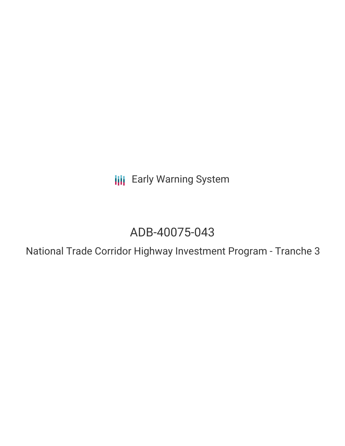**III** Early Warning System

# ADB-40075-043

National Trade Corridor Highway Investment Program - Tranche 3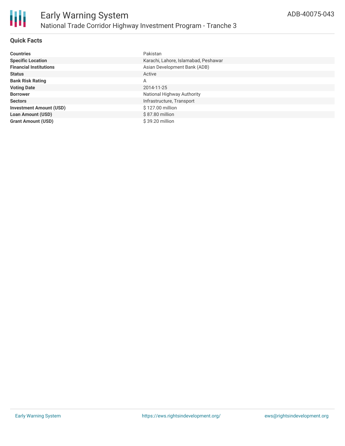

## **Quick Facts**

| <b>Countries</b>               | Pakistan                             |
|--------------------------------|--------------------------------------|
| <b>Specific Location</b>       | Karachi, Lahore, Islamabad, Peshawar |
| <b>Financial Institutions</b>  | Asian Development Bank (ADB)         |
| <b>Status</b>                  | Active                               |
| <b>Bank Risk Rating</b>        | Α                                    |
| <b>Voting Date</b>             | 2014-11-25                           |
| <b>Borrower</b>                | National Highway Authority           |
| <b>Sectors</b>                 | Infrastructure, Transport            |
| <b>Investment Amount (USD)</b> | \$127.00 million                     |
| <b>Loan Amount (USD)</b>       | \$87.80 million                      |
| <b>Grant Amount (USD)</b>      | \$39.20 million                      |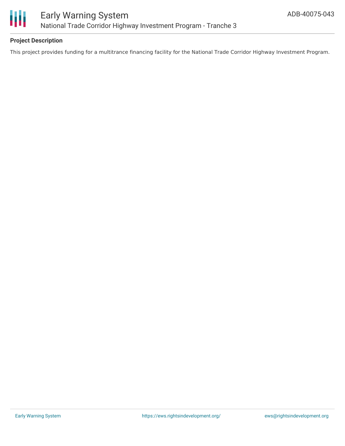

# **Project Description**

This project provides funding for a multitrance financing facility for the National Trade Corridor Highway Investment Program.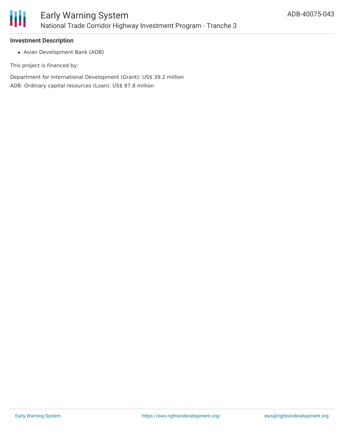

#### **Investment Description**

Asian Development Bank (ADB)

This project is financed by:

Department for International Development (Grant): US\$ 39.2 million ADB: Ordinary capital resources (Loan): US\$ 87.8 million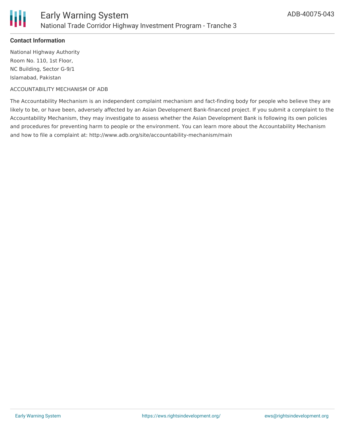

### **Contact Information**

National Highway Authority Room No. 110, 1st Floor, NC Building, Sector G-9/1 Islamabad, Pakistan

#### ACCOUNTABILITY MECHANISM OF ADB

The Accountability Mechanism is an independent complaint mechanism and fact-finding body for people who believe they are likely to be, or have been, adversely affected by an Asian Development Bank-financed project. If you submit a complaint to the Accountability Mechanism, they may investigate to assess whether the Asian Development Bank is following its own policies and procedures for preventing harm to people or the environment. You can learn more about the Accountability Mechanism and how to file a complaint at: http://www.adb.org/site/accountability-mechanism/main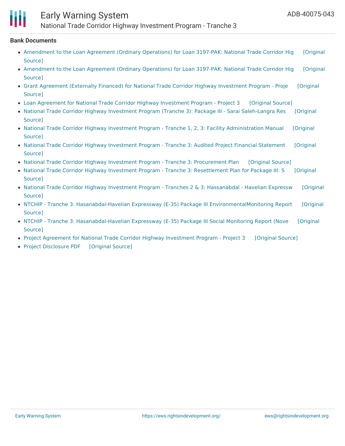

# Early Warning System

National Trade Corridor Highway Investment Program - Tranche 3

#### **Bank Documents**

- [Amendment](https://ewsdata.rightsindevelopment.org/files/documents/43/ADB-40075-043_CMUQuc6.pdf) to the Loan Agreement (Ordinary Operations) for Loan 3197-PAK: National Trade Corridor Hig [Original Source]
- [Amendment](https://ewsdata.rightsindevelopment.org/files/documents/43/ADB-40075-043_FqgMyRa.pdf) to the Loan Agreement (Ordinary Operations) for Loan 3197-PAK: National Trade Corridor Hig [Original Source]
- Grant Agreement (Externally Financed) for National Trade Corridor Highway [Investment](https://ewsdata.rightsindevelopment.org/files/documents/43/ADB-40075-043_zaHIQMA.pdf) Program Proje [Original Source]
- Loan Agreement for National Trade Corridor Highway [Investment](https://ewsdata.rightsindevelopment.org/files/documents/43/ADB-40075-043_TSNlJ2B.pdf) Program Project 3 [\[Original](https://www.adb.org/projects/documents/national-trade-corridor-highway-investment-program-t3-mlo1) Source]
- National Trade Corridor Highway Investment Program (Tranche 3): Package III Sarai [Saleh-Langra](https://www.adb.org/projects/documents/pak-ntchip-t3-package3-sarai-saleh-langra-sep-2015-rp) Res [Original Source]
- National Trade Corridor Highway Investment Program Tranche 1, 2, 3: Facility [Administration](https://www.adb.org/projects/documents/national-trade-corridor-highway-investment-program-oct-2014-fam) Manual [Original Source]
- National Trade Corridor Highway [Investment](https://www.adb.org/projects/documents/pak-40075-043-apfs) Program Tranche 3: Audited Project Financial Statement [Original Source]
- National Trade Corridor Highway Investment Program Tranche 3: [Procurement](https://ewsdata.rightsindevelopment.org/files/documents/43/ADB-40075-043_BWzzVSC.pdf) Plan [\[Original](https://www.adb.org/projects/documents/national-trade-corridor-highway-investment-program-tranche-3-pp) Source]
- National Trade Corridor Highway Investment Program Tranche 3: [Resettlement](https://ewsdata.rightsindevelopment.org/files/documents/43/ADB-40075-043_AMWXXdV.pdf) Plan for Package III: S [Original Source]
- National Trade Corridor Highway Investment Program Tranches 2 & 3: [Hassanabdal](https://ewsdata.rightsindevelopment.org/files/documents/43/ADB-40075-043_nxnIXui.pdf) Havelian Expressw [Original Source]
- NTCHIP Tranche 3: Hasanabdal-Havelian Expressway (E-35) Package III [EnvironmentalMonitoring](https://ewsdata.rightsindevelopment.org/files/documents/43/ADB-40075-043_5rcPzaR.pdf) Report [Original Source]
- NTCHIP Tranche 3: [Hasanabdal-Havelian](https://ewsdata.rightsindevelopment.org/files/documents/43/ADB-40075-043_YNtYlkn.pdf) Expressway (E-35) Package III Social Monitoring Report (Nove [Original Source]
- Project Agreement for National Trade Corridor Highway [Investment](https://ewsdata.rightsindevelopment.org/files/documents/43/ADB-40075-043_eIuyQY2.pdf) Program Project 3 [\[Original](https://www.adb.org/projects/documents/national-trade-corridor-highway-investment-program-t3-mpr1) Source]
- Project [Disclosure](https://ewsdata.rightsindevelopment.org/files/documents/43/ADB-40075-043.pdf) PDF [\[Original](https://www.adb.org/printpdf/projects/40075-043/main) Source]